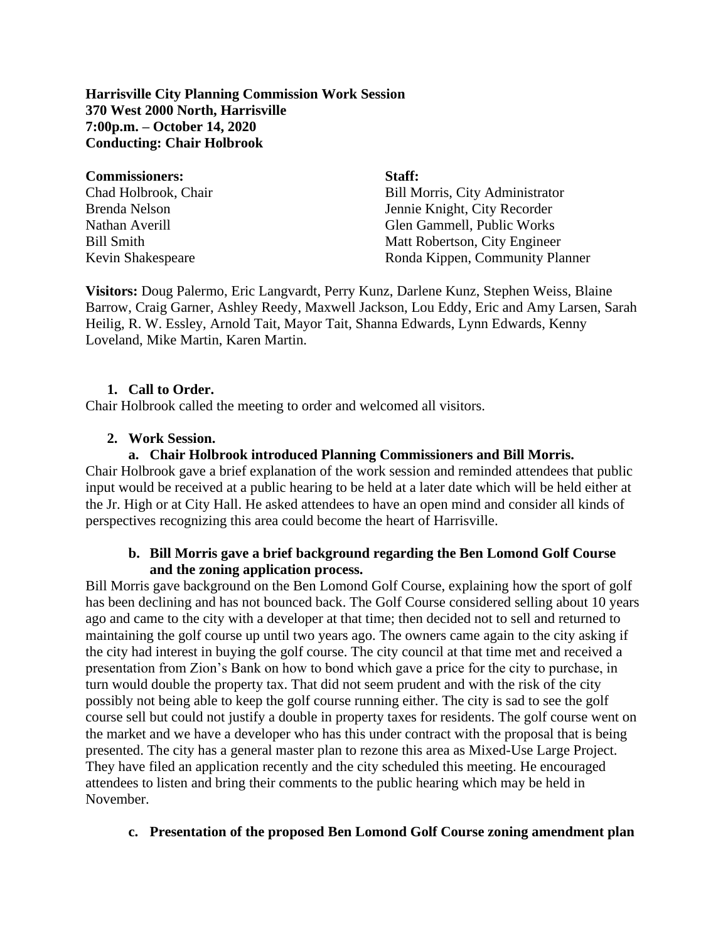**Harrisville City Planning Commission Work Session 370 West 2000 North, Harrisville 7:00p.m. – October 14, 2020 Conducting: Chair Holbrook**

| <b>Commissioners:</b> | Staff:                                 |
|-----------------------|----------------------------------------|
| Chad Holbrook, Chair  | <b>Bill Morris, City Administrator</b> |
| <b>Brenda Nelson</b>  | Jennie Knight, City Recorder           |
| Nathan Averill        | Glen Gammell, Public Works             |
| <b>Bill Smith</b>     | Matt Robertson, City Engineer          |
| Kevin Shakespeare     | Ronda Kippen, Community Planner        |

**Visitors:** Doug Palermo, Eric Langvardt, Perry Kunz, Darlene Kunz, Stephen Weiss, Blaine Barrow, Craig Garner, Ashley Reedy, Maxwell Jackson, Lou Eddy, Eric and Amy Larsen, Sarah Heilig, R. W. Essley, Arnold Tait, Mayor Tait, Shanna Edwards, Lynn Edwards, Kenny Loveland, Mike Martin, Karen Martin.

# **1. Call to Order.**

Chair Holbrook called the meeting to order and welcomed all visitors.

# **2. Work Session.**

#### **a. Chair Holbrook introduced Planning Commissioners and Bill Morris.**

Chair Holbrook gave a brief explanation of the work session and reminded attendees that public input would be received at a public hearing to be held at a later date which will be held either at the Jr. High or at City Hall. He asked attendees to have an open mind and consider all kinds of perspectives recognizing this area could become the heart of Harrisville.

### **b. Bill Morris gave a brief background regarding the Ben Lomond Golf Course and the zoning application process.**

Bill Morris gave background on the Ben Lomond Golf Course, explaining how the sport of golf has been declining and has not bounced back. The Golf Course considered selling about 10 years ago and came to the city with a developer at that time; then decided not to sell and returned to maintaining the golf course up until two years ago. The owners came again to the city asking if the city had interest in buying the golf course. The city council at that time met and received a presentation from Zion's Bank on how to bond which gave a price for the city to purchase, in turn would double the property tax. That did not seem prudent and with the risk of the city possibly not being able to keep the golf course running either. The city is sad to see the golf course sell but could not justify a double in property taxes for residents. The golf course went on the market and we have a developer who has this under contract with the proposal that is being presented. The city has a general master plan to rezone this area as Mixed-Use Large Project. They have filed an application recently and the city scheduled this meeting. He encouraged attendees to listen and bring their comments to the public hearing which may be held in November.

#### **c. Presentation of the proposed Ben Lomond Golf Course zoning amendment plan**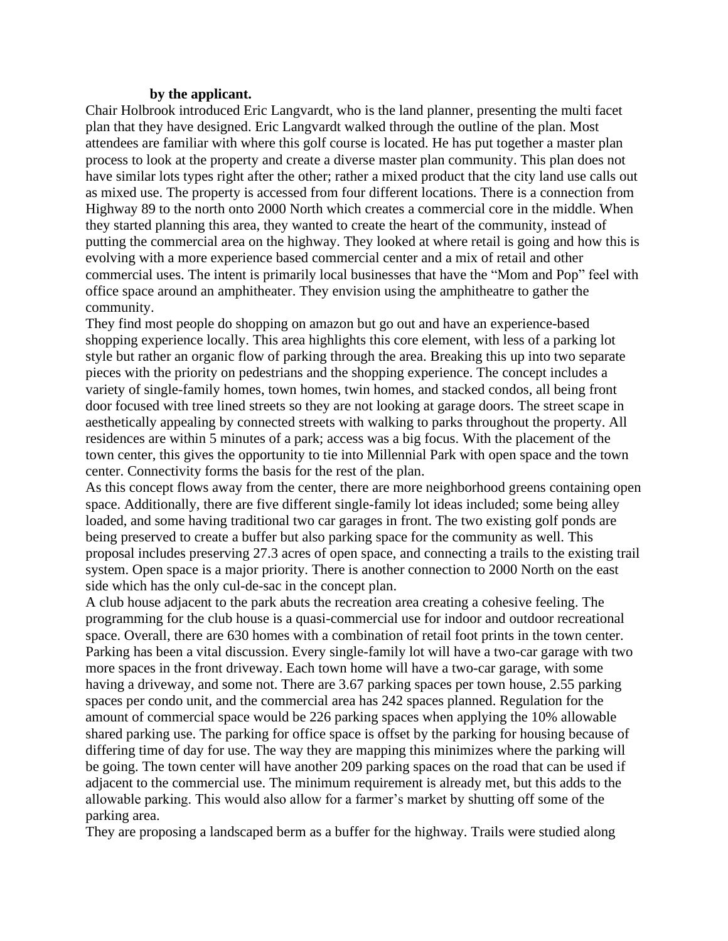#### **by the applicant.**

Chair Holbrook introduced Eric Langvardt, who is the land planner, presenting the multi facet plan that they have designed. Eric Langvardt walked through the outline of the plan. Most attendees are familiar with where this golf course is located. He has put together a master plan process to look at the property and create a diverse master plan community. This plan does not have similar lots types right after the other; rather a mixed product that the city land use calls out as mixed use. The property is accessed from four different locations. There is a connection from Highway 89 to the north onto 2000 North which creates a commercial core in the middle. When they started planning this area, they wanted to create the heart of the community, instead of putting the commercial area on the highway. They looked at where retail is going and how this is evolving with a more experience based commercial center and a mix of retail and other commercial uses. The intent is primarily local businesses that have the "Mom and Pop" feel with office space around an amphitheater. They envision using the amphitheatre to gather the community.

They find most people do shopping on amazon but go out and have an experience-based shopping experience locally. This area highlights this core element, with less of a parking lot style but rather an organic flow of parking through the area. Breaking this up into two separate pieces with the priority on pedestrians and the shopping experience. The concept includes a variety of single-family homes, town homes, twin homes, and stacked condos, all being front door focused with tree lined streets so they are not looking at garage doors. The street scape in aesthetically appealing by connected streets with walking to parks throughout the property. All residences are within 5 minutes of a park; access was a big focus. With the placement of the town center, this gives the opportunity to tie into Millennial Park with open space and the town center. Connectivity forms the basis for the rest of the plan.

As this concept flows away from the center, there are more neighborhood greens containing open space. Additionally, there are five different single-family lot ideas included; some being alley loaded, and some having traditional two car garages in front. The two existing golf ponds are being preserved to create a buffer but also parking space for the community as well. This proposal includes preserving 27.3 acres of open space, and connecting a trails to the existing trail system. Open space is a major priority. There is another connection to 2000 North on the east side which has the only cul-de-sac in the concept plan.

A club house adjacent to the park abuts the recreation area creating a cohesive feeling. The programming for the club house is a quasi-commercial use for indoor and outdoor recreational space. Overall, there are 630 homes with a combination of retail foot prints in the town center. Parking has been a vital discussion. Every single-family lot will have a two-car garage with two more spaces in the front driveway. Each town home will have a two-car garage, with some having a driveway, and some not. There are 3.67 parking spaces per town house, 2.55 parking spaces per condo unit, and the commercial area has 242 spaces planned. Regulation for the amount of commercial space would be 226 parking spaces when applying the 10% allowable shared parking use. The parking for office space is offset by the parking for housing because of differing time of day for use. The way they are mapping this minimizes where the parking will be going. The town center will have another 209 parking spaces on the road that can be used if adjacent to the commercial use. The minimum requirement is already met, but this adds to the allowable parking. This would also allow for a farmer's market by shutting off some of the parking area.

They are proposing a landscaped berm as a buffer for the highway. Trails were studied along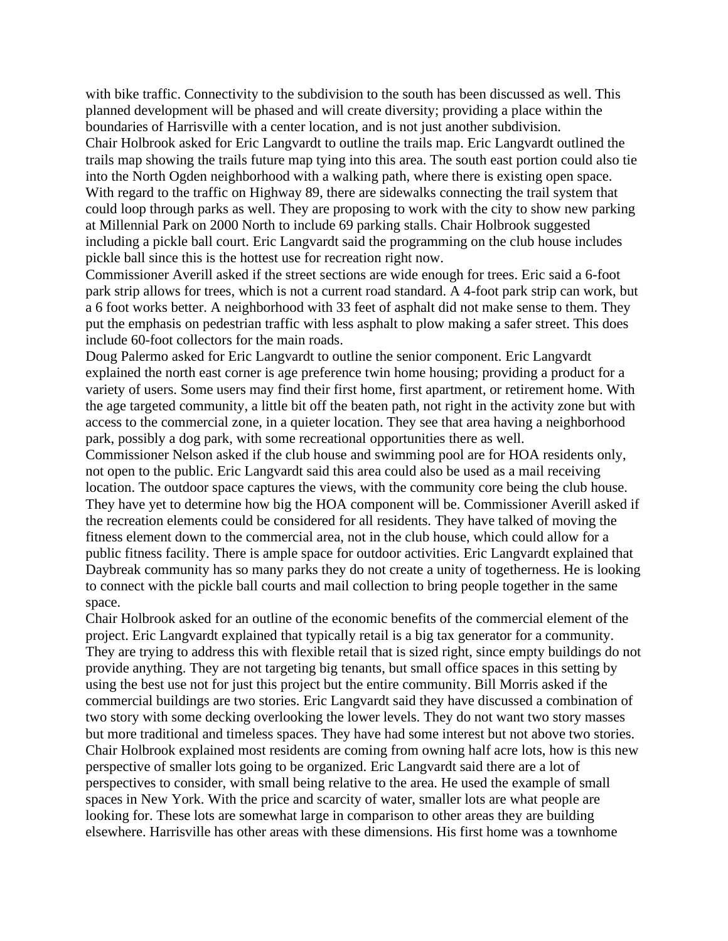with bike traffic. Connectivity to the subdivision to the south has been discussed as well. This planned development will be phased and will create diversity; providing a place within the boundaries of Harrisville with a center location, and is not just another subdivision. Chair Holbrook asked for Eric Langvardt to outline the trails map. Eric Langvardt outlined the trails map showing the trails future map tying into this area. The south east portion could also tie into the North Ogden neighborhood with a walking path, where there is existing open space. With regard to the traffic on Highway 89, there are sidewalks connecting the trail system that could loop through parks as well. They are proposing to work with the city to show new parking at Millennial Park on 2000 North to include 69 parking stalls. Chair Holbrook suggested including a pickle ball court. Eric Langvardt said the programming on the club house includes pickle ball since this is the hottest use for recreation right now.

Commissioner Averill asked if the street sections are wide enough for trees. Eric said a 6-foot park strip allows for trees, which is not a current road standard. A 4-foot park strip can work, but a 6 foot works better. A neighborhood with 33 feet of asphalt did not make sense to them. They put the emphasis on pedestrian traffic with less asphalt to plow making a safer street. This does include 60-foot collectors for the main roads.

Doug Palermo asked for Eric Langvardt to outline the senior component. Eric Langvardt explained the north east corner is age preference twin home housing; providing a product for a variety of users. Some users may find their first home, first apartment, or retirement home. With the age targeted community, a little bit off the beaten path, not right in the activity zone but with access to the commercial zone, in a quieter location. They see that area having a neighborhood park, possibly a dog park, with some recreational opportunities there as well.

Commissioner Nelson asked if the club house and swimming pool are for HOA residents only, not open to the public. Eric Langvardt said this area could also be used as a mail receiving location. The outdoor space captures the views, with the community core being the club house. They have yet to determine how big the HOA component will be. Commissioner Averill asked if the recreation elements could be considered for all residents. They have talked of moving the fitness element down to the commercial area, not in the club house, which could allow for a public fitness facility. There is ample space for outdoor activities. Eric Langvardt explained that Daybreak community has so many parks they do not create a unity of togetherness. He is looking to connect with the pickle ball courts and mail collection to bring people together in the same space.

Chair Holbrook asked for an outline of the economic benefits of the commercial element of the project. Eric Langvardt explained that typically retail is a big tax generator for a community. They are trying to address this with flexible retail that is sized right, since empty buildings do not provide anything. They are not targeting big tenants, but small office spaces in this setting by using the best use not for just this project but the entire community. Bill Morris asked if the commercial buildings are two stories. Eric Langvardt said they have discussed a combination of two story with some decking overlooking the lower levels. They do not want two story masses but more traditional and timeless spaces. They have had some interest but not above two stories. Chair Holbrook explained most residents are coming from owning half acre lots, how is this new perspective of smaller lots going to be organized. Eric Langvardt said there are a lot of perspectives to consider, with small being relative to the area. He used the example of small spaces in New York. With the price and scarcity of water, smaller lots are what people are looking for. These lots are somewhat large in comparison to other areas they are building elsewhere. Harrisville has other areas with these dimensions. His first home was a townhome